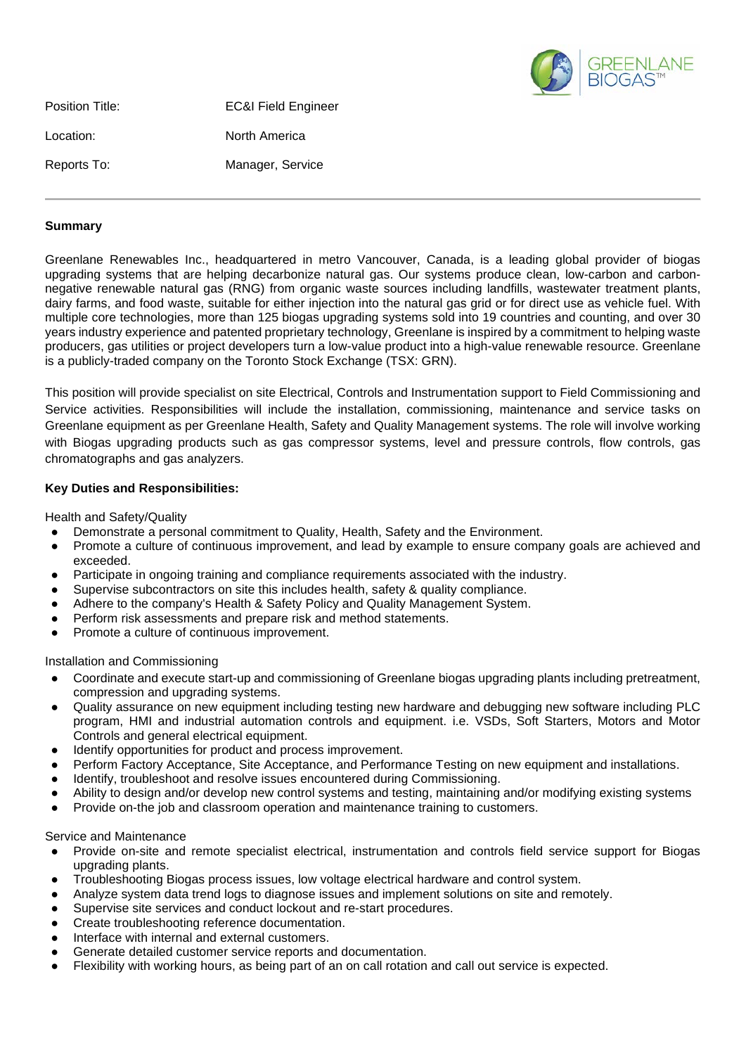

| Position Title: | <b>EC&amp;I Field Engineer</b> |
|-----------------|--------------------------------|
| Location:       | North America                  |
| Reports To:     | Manager, Service               |

# **Summary**

Greenlane Renewables Inc., headquartered in metro Vancouver, Canada, is a leading global provider of biogas upgrading systems that are helping decarbonize natural gas. Our systems produce clean, low-carbon and carbonnegative renewable natural gas (RNG) from organic waste sources including landfills, wastewater treatment plants, dairy farms, and food waste, suitable for either injection into the natural gas grid or for direct use as vehicle fuel. With multiple core technologies, more than 125 biogas upgrading systems sold into 19 countries and counting, and over 30 years industry experience and patented proprietary technology, Greenlane is inspired by a commitment to helping waste producers, gas utilities or project developers turn a low-value product into a high-value renewable resource. Greenlane is a publicly-traded company on the Toronto Stock Exchange (TSX: GRN).

This position will provide specialist on site Electrical, Controls and Instrumentation support to Field Commissioning and Service activities. Responsibilities will include the installation, commissioning, maintenance and service tasks on Greenlane equipment as per Greenlane Health, Safety and Quality Management systems. The role will involve working with Biogas upgrading products such as gas compressor systems, level and pressure controls, flow controls, gas chromatographs and gas analyzers.

### **Key Duties and Responsibilities:**

Health and Safety/Quality

- Demonstrate a personal commitment to Quality, Health, Safety and the Environment.
- Promote a culture of continuous improvement, and lead by example to ensure company goals are achieved and exceeded.
- Participate in ongoing training and compliance requirements associated with the industry.
- Supervise subcontractors on site this includes health, safety & quality compliance.
- Adhere to the company's Health & Safety Policy and Quality Management System.
- Perform risk assessments and prepare risk and method statements.
- Promote a culture of continuous improvement.

### Installation and Commissioning

- Coordinate and execute start-up and commissioning of Greenlane biogas upgrading plants including pretreatment, compression and upgrading systems.
- Quality assurance on new equipment including testing new hardware and debugging new software including PLC program, HMI and industrial automation controls and equipment. i.e. VSDs, Soft Starters, Motors and Motor Controls and general electrical equipment.
- Identify opportunities for product and process improvement.
- Perform Factory Acceptance, Site Acceptance, and Performance Testing on new equipment and installations.
- Identify, troubleshoot and resolve issues encountered during Commissioning.
- Ability to design and/or develop new control systems and testing, maintaining and/or modifying existing systems
- Provide on-the job and classroom operation and maintenance training to customers.

### Service and Maintenance

- Provide on-site and remote specialist electrical, instrumentation and controls field service support for Biogas upgrading plants.
- Troubleshooting Biogas process issues, low voltage electrical hardware and control system.
- Analyze system data trend logs to diagnose issues and implement solutions on site and remotely.
- Supervise site services and conduct lockout and re-start procedures.
- Create troubleshooting reference documentation.
- Interface with internal and external customers.
- Generate detailed customer service reports and documentation.
- Flexibility with working hours, as being part of an on call rotation and call out service is expected.